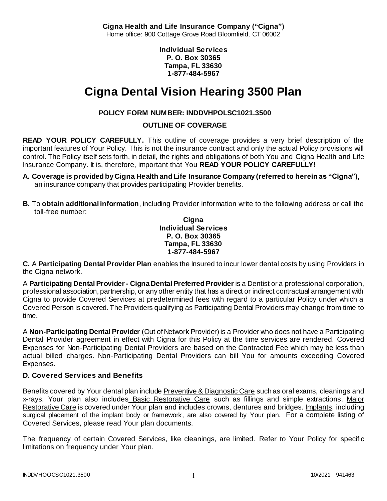**Cigna Health and Life Insurance Company ("Cigna")** Home office: 900 Cottage Grove Road Bloomfield, CT 06002

> **Individual Services P. O. Box 30365 Tampa, FL 33630 1-877-484-5967**

# **Cigna Dental Vision Hearing 3500 Plan**

# **POLICY FORM NUMBER: INDDVHPOLSC1021.3500**

**OUTLINE OF COVERAGE** 

**READ YOUR POLICY CAREFULLY.** This outline of coverage provides a very brief description of the important features of Your Policy. This is not the insurance contract and only the actual Policy provisions will control. The Policy itself sets forth, in detail, the rights and obligations of both You and Cigna Health and Life Insurance Company. It is, therefore, important that You **READ YOUR POLICY CAREFULLY!** 

- **A. Coverage is provided by Cigna Health and Life Insurance Company (referred to herein as "Cigna"),**  an insurance company that provides participating Provider benefits.
- **B.** To **obtain additional information**, including Provider information write to the following address or call the toll-free number:

**Cigna Individual Services P. O. Box 30365 Tampa, FL 33630 1-877-484-5967**

**C.** A **Participating Dental Provider Plan** enables the Insured to incur lower dental costs by using Providers in the Cigna network.

A **Participating Dental Provider - Cigna Dental Preferred Provider** is a Dentist or a professional corporation, professional association, partnership, or any other entity that has a direct or indirect contractual arrangement with Cigna to provide Covered Services at predetermined fees with regard to a particular Policy under which a Covered Person is covered. The Providers qualifying as Participating Dental Providers may change from time to time.

A **Non-Participating Dental Provider** (Out of Network Provider) is a Provider who does not have a Participating Dental Provider agreement in effect with Cigna for this Policy at the time services are rendered. Covered Expenses for Non-Participating Dental Providers are based on the Contracted Fee which may be less than actual billed charges. Non-Participating Dental Providers can bill You for amounts exceeding Covered Expenses.

#### **D. Covered Services and Benefits**

Benefits covered by Your dental plan include Preventive & Diagnostic Care such as oral exams, cleanings and x-rays. Your plan also includes Basic Restorative Care such as fillings and simple extractions. Major Restorative Care is covered under Your plan and includes crowns, dentures and bridges. Implants, including surgical placement of the implant body or framework, are also covered by Your plan. For a complete listing of Covered Services, please read Your plan documents.

The frequency of certain Covered Services, like cleanings, are limited. Refer to Your Policy for specific limitations on frequency under Your plan.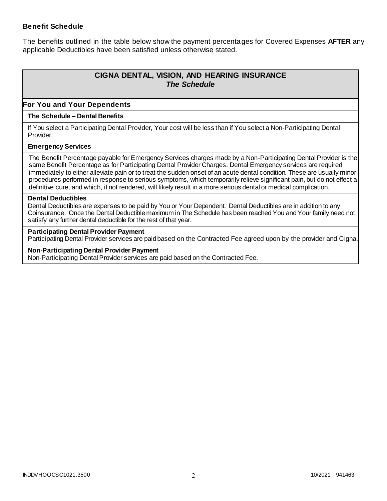#### **Benefit Schedule**

The benefits outlined in the table below show the payment percentages for Covered Expenses **AFTER** any applicable Deductibles have been satisfied unless otherwise stated.

# **CIGNA DENTAL, VISION, AND HEARING INSURANCE** *The Schedule*

#### **For You and Your Dependents**

#### **The Schedule – Dental Benefits**

If You select a Participating Dental Provider, Your cost will be less than if You select a Non-Participating Dental Provider.

#### **Emergency Services**

The Benefit Percentage payable for Emergency Services charges made by a Non-Participating Dental Provider is the same Benefit Percentage as for Participating Dental Provider Charges. Dental Emergency services are required immediately to either alleviate pain or to treat the sudden onset of an acute dental condition. These are usually minor procedures performed in response to serious symptoms, which temporarily relieve significant pain, but do not effect a definitive cure, and which, if not rendered, will likely result in a more serious dental or medical complication.

#### **Dental Deductibles**

Dental Deductibles are expenses to be paid by You or Your Dependent. Dental Deductibles are in addition to any Coinsurance. Once the Dental Deductible maximum in The Schedule has been reached You and Your family need not satisfy any further dental deductible for the rest of that year.

#### **Participating Dental Provider Payment**

Participating Dental Provider services are paid based on the Contracted Fee agreed upon by the provider and Cigna.

**Non-Participating Dental Provider Payment** Non-Participating Dental Provider services are paid based on the Contracted Fee.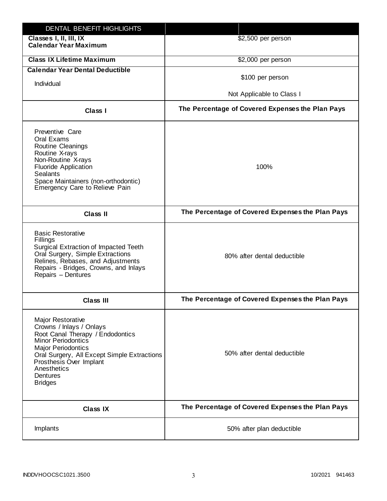| DENTAL BENEFIT HIGHLIGHTS                                                                                                                                                                                                                                                 |                                                  |
|---------------------------------------------------------------------------------------------------------------------------------------------------------------------------------------------------------------------------------------------------------------------------|--------------------------------------------------|
| Classes I, II, III, IX<br><b>Calendar Year Maximum</b>                                                                                                                                                                                                                    | \$2,500 per person                               |
| <b>Class IX Lifetime Maximum</b>                                                                                                                                                                                                                                          | \$2,000 per person                               |
| <b>Calendar Year Dental Deductible</b>                                                                                                                                                                                                                                    |                                                  |
| Individual                                                                                                                                                                                                                                                                | \$100 per person                                 |
|                                                                                                                                                                                                                                                                           | Not Applicable to Class I                        |
| <b>Class I</b>                                                                                                                                                                                                                                                            | The Percentage of Covered Expenses the Plan Pays |
| Preventive Care<br>Oral Exams<br>Routine Cleanings<br>Routine X-rays<br>Non-Routine X-rays<br><b>Fluoride Application</b><br><b>Sealants</b><br>Space Maintainers (non-orthodontic)<br>Emergency Care to Relieve Pain                                                     | 100%                                             |
| <b>Class II</b>                                                                                                                                                                                                                                                           | The Percentage of Covered Expenses the Plan Pays |
| <b>Basic Restorative</b><br>Fillings<br>Surgical Extraction of Impacted Teeth<br>Oral Surgery, Simple Extractions<br>Relines, Rebases, and Adjustments<br>Repairs - Bridges, Crowns, and Inlays<br>Repairs - Dentures                                                     | 80% after dental deductible                      |
| <b>Class III</b>                                                                                                                                                                                                                                                          | The Percentage of Covered Expenses the Plan Pays |
| <b>Major Restorative</b><br>Crowns / Inlays / Onlays<br>Root Canal Therapy / Endodontics<br><b>Minor Periodontics</b><br><b>Major Periodontics</b><br>Oral Surgery, All Except Simple Extractions<br>Prosthesis Over Implant<br>Anesthetics<br>Dentures<br><b>Bridges</b> | 50% after dental deductible                      |
| <b>Class IX</b>                                                                                                                                                                                                                                                           | The Percentage of Covered Expenses the Plan Pays |
| Implants                                                                                                                                                                                                                                                                  | 50% after plan deductible                        |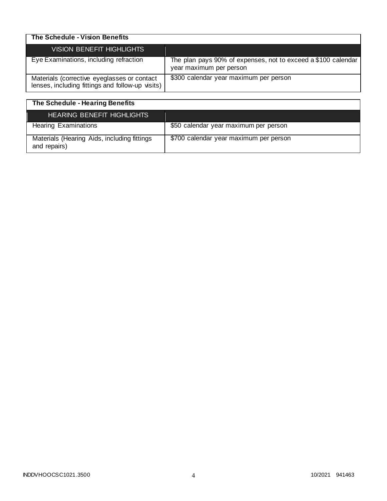| The Schedule - Vision Benefits                                                                  |                                                                                          |
|-------------------------------------------------------------------------------------------------|------------------------------------------------------------------------------------------|
| VISION BENEFIT HIGHLIGHTS                                                                       |                                                                                          |
| Eye Examinations, including refraction                                                          | The plan pays 90% of expenses, not to exceed a \$100 calendar<br>year maximum per person |
| Materials (corrective eyeglasses or contact<br>lenses, including fittings and follow-up visits) | \$300 calendar year maximum per person                                                   |

| The Schedule - Hearing Benefits                             |                                        |
|-------------------------------------------------------------|----------------------------------------|
| <b>HEARING BENEFIT HIGHLIGHTS</b>                           |                                        |
| <b>Hearing Examinations</b>                                 | \$50 calendar year maximum per person  |
| Materials (Hearing Aids, including fittings<br>and repairs) | \$700 calendar year maximum per person |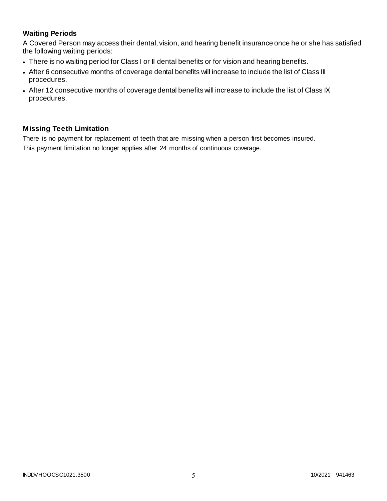# **Waiting Periods**

A Covered Person may access their dental, vision, and hearing benefit insurance once he or she has satisfied the following waiting periods:

- There is no waiting period for Class I or II dental benefits or for vision and hearing benefits.
- After 6 consecutive months of coverage dental benefits will increase to include the list of Class III procedures.
- After 12 consecutive months of coverage dental benefits will increase to include the list of Class IX procedures.

## **Missing Teeth Limitation**

There is no payment for replacement of teeth that are missing when a person first becomes insured. This payment limitation no longer applies after 24 months of continuous coverage.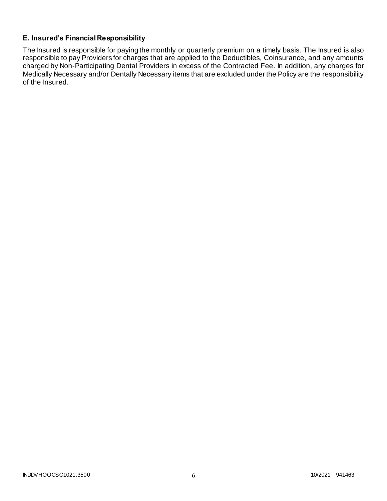# **E. Insured's Financial Responsibility**

The Insured is responsible for paying the monthly or quarterly premium on a timely basis. The Insured is also responsible to pay Providers for charges that are applied to the Deductibles, Coinsurance, and any amounts charged by Non-Participating Dental Providers in excess of the Contracted Fee. In addition, any charges for Medically Necessary and/or Dentally Necessary items that are excluded under the Policy are the responsibility of the Insured.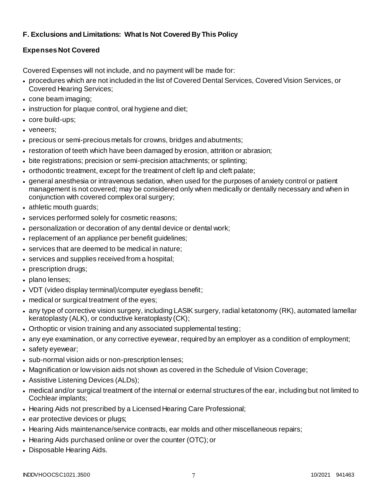# **F. Exclusions and Limitations: What Is Not Covered By This Policy**

# **Expenses Not Covered**

Covered Expenses will not include, and no payment will be made for:

- procedures which are not included in the list of Covered Dental Services, Covered Vision Services, or Covered Hearing Services;
- cone beam imaging;
- instruction for plaque control, oral hygiene and diet;
- core build-ups;
- veneers;
- precious or semi-precious metals for crowns, bridges and abutments;
- restoration of teeth which have been damaged by erosion, attrition or abrasion;
- bite registrations; precision or semi-precision attachments; or splinting;
- orthodontic treatment, except for the treatment of cleft lip and cleft palate;
- general anesthesia or intravenous sedation, when used for the purposes of anxiety control or patient management is not covered; may be considered only when medically or dentally necessary and when in conjunction with covered complex oral surgery;
- athletic mouth guards;
- services performed solely for cosmetic reasons;
- personalization or decoration of any dental device or dental work;
- replacement of an appliance per benefit guidelines;
- services that are deemed to be medical in nature;
- services and supplies received from a hospital;
- prescription drugs;
- plano lenses;
- VDT (video display terminal)/computer eyeglass benefit;
- medical or surgical treatment of the eyes;
- any type of corrective vision surgery, including LASIK surgery, radial ketatonomy (RK), automated lamellar keratoplasty (ALK), or conductive keratoplasty (CK);
- Orthoptic or vision training and any associated supplemental testing;
- any eye examination, or any corrective eyewear, required by an employer as a condition of employment;
- safety eyewear;
- sub-normal vision aids or non-prescription lenses;
- Magnification or low vision aids not shown as covered in the Schedule of Vision Coverage;
- Assistive Listening Devices (ALDs);
- medical and/or surgical treatment of the internal or external structures of the ear, including but not limited to Cochlear implants;
- Hearing Aids not prescribed by a Licensed Hearing Care Professional;
- ear protective devices or plugs;
- Hearing Aids maintenance/service contracts, ear molds and other miscellaneous repairs;
- Hearing Aids purchased online or over the counter (OTC); or
- Disposable Hearing Aids.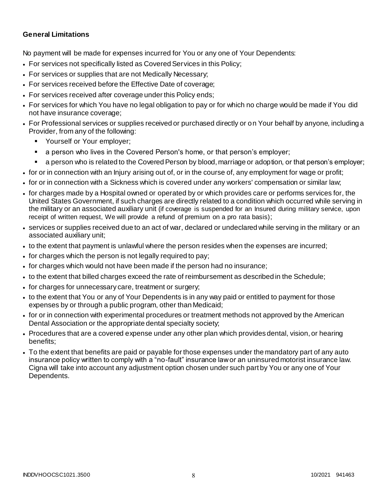#### **General Limitations**

No payment will be made for expenses incurred for You or any one of Your Dependents:

- For services not specifically listed as Covered Services in this Policy;
- For services or supplies that are not Medically Necessary;
- For services received before the Effective Date of coverage;
- For services received after coverage under this Policy ends;
- For services for which You have no legal obligation to pay or for which no charge would be made if You did not have insurance coverage;
- For Professional services or supplies received or purchased directly or on Your behalf by anyone, including a Provider, from any of the following:
	- Yourself or Your employer;
	- a person who lives in the Covered Person's home, or that person's employer;
	- a person who is related to the Covered Person by blood, marriage or adoption, or that person's employer;
- for or in connection with an Injury arising out of, or in the course of, any employment for wage or profit;
- for or in connection with a Sickness which is covered under any workers' compensation or similar law;
- for charges made by a Hospital owned or operated by or which provides care or performs services for, the United States Government, if such charges are directly related to a condition which occurred while serving in the military or an associated auxiliary unit (if coverage is suspended for an Insured during military service, upon receipt of written request, We will provide a refund of premium on a pro rata basis);
- services or supplies received due to an act of war, declared or undeclared while serving in the military or an associated auxiliary unit;
- to the extent that payment is unlawful where the person resides when the expenses are incurred;
- for charges which the person is not legally required to pay;
- for charges which would not have been made if the person had no insurance;
- to the extent that billed charges exceed the rate of reimbursement as described in the Schedule;
- for charges for unnecessary care, treatment or surgery;
- to the extent that You or any of Your Dependents is in any way paid or entitled to payment for those expenses by or through a public program, other than Medicaid;
- for or in connection with experimental procedures or treatment methods not approved by the American Dental Association or the appropriate dental specialty society;
- Procedures that are a covered expense under any other plan which provides dental, vision, or hearing benefits;
- To the extent that benefits are paid or payable for those expenses under the mandatory part of any auto insurance policy written to comply with a "no-fault" insurance law or an uninsured motorist insurance law. Cigna will take into account any adjustment option chosen under such part by You or any one of Your Dependents.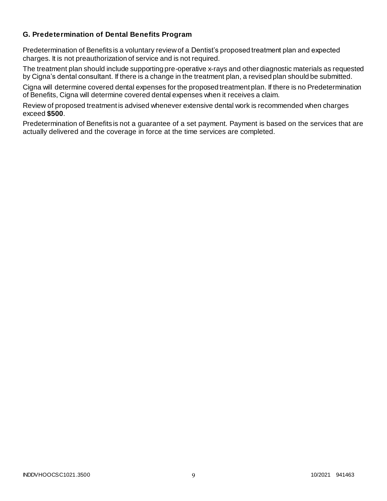### **G. Predetermination of Dental Benefits Program**

Predetermination of Benefits is a voluntary review of a Dentist's proposed treatment plan and expected charges. It is not preauthorization of service and is not required.

The treatment plan should include supporting pre-operative x-rays and other diagnostic materials as requested by Cigna's dental consultant. If there is a change in the treatment plan, a revised plan should be submitted.

Cigna will determine covered dental expenses for the proposed treatment plan. If there is no Predetermination of Benefits, Cigna will determine covered dental expenses when it receives a claim.

Review of proposed treatment is advised whenever extensive dental work is recommended when charges exceed **\$500**.

Predetermination of Benefits is not a guarantee of a set payment. Payment is based on the services that are actually delivered and the coverage in force at the time services are completed.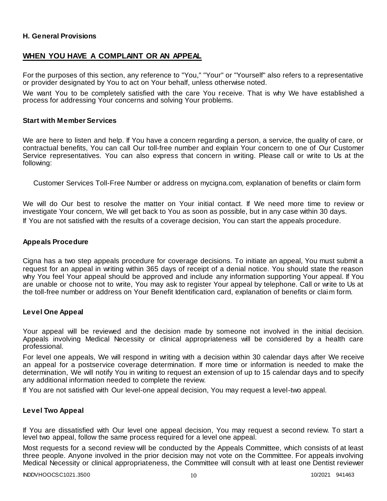#### **H. General Provisions**

## **WHEN YOU HAVE A COMPLAINT OR AN APPEAL**

For the purposes of this section, any reference to "You," "Your" or "Yourself" also refers to a representative or provider designated by You to act on Your behalf, unless otherwise noted.

We want You to be completely satisfied with the care You receive. That is why We have established a process for addressing Your concerns and solving Your problems.

#### **Start with Member Services**

We are here to listen and help. If You have a concern regarding a person, a service, the quality of care, or contractual benefits, You can call Our toll-free number and explain Your concern to one of Our Customer Service representatives. You can also express that concern in writing. Please call or write to Us at the following:

Customer Services Toll-Free Number or address on mycigna.com, explanation of benefits or claim form

We will do Our best to resolve the matter on Your initial contact. If We need more time to review or investigate Your concern, We will get back to You as soon as possible, but in any case within 30 days. If You are not satisfied with the results of a coverage decision, You can start the appeals procedure.

#### **Appeals Procedure**

Cigna has a two step appeals procedure for coverage decisions. To initiate an appeal, You must submit a request for an appeal in writing within 365 days of receipt of a denial notice. You should state the reason why You feel Your appeal should be approved and include any information supporting Your appeal. If You are unable or choose not to write, You may ask to register Your appeal by telephone. Call or write to Us at the toll-free number or address on Your Benefit Identification card, explanation of benefits or claim form.

#### **Level One Appeal**

Your appeal will be reviewed and the decision made by someone not involved in the initial decision. Appeals involving Medical Necessity or clinical appropriateness will be considered by a health care professional.

For level one appeals, We will respond in writing with a decision within 30 calendar days after We receive an appeal for a postservice coverage determination. If more time or information is needed to make the determination, We will notify You in writing to request an extension of up to 15 calendar days and to specify any additional information needed to complete the review.

If You are not satisfied with Our level-one appeal decision, You may request a level-two appeal.

#### **Level Two Appeal**

If You are dissatisfied with Our level one appeal decision, You may request a second review. To start a level two appeal, follow the same process required for a level one appeal.

Most requests for a second review will be conducted by the Appeals Committee, which consists of at least three people. Anyone involved in the prior decision may not vote on the Committee. For appeals involving Medical Necessity or clinical appropriateness, the Committee will consult with at least one Dentist reviewer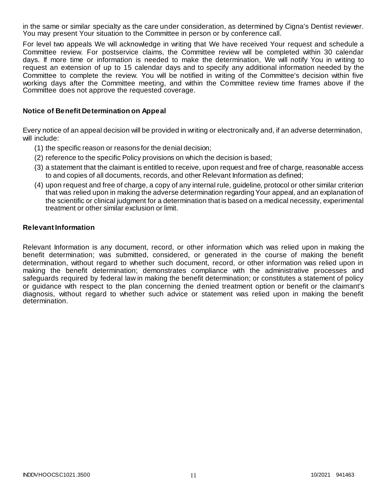in the same or similar specialty as the care under consideration, as determined by Cigna's Dentist reviewer. You may present Your situation to the Committee in person or by conference call.

For level two appeals We will acknowledge in writing that We have received Your request and schedule a Committee review. For postservice claims, the Committee review will be completed within 30 calendar days. If more time or information is needed to make the determination, We will notify You in writing to request an extension of up to 15 calendar days and to specify any additional information needed by the Committee to complete the review. You will be notified in writing of the Committee's decision within five working days after the Committee meeting, and within the Committee review time frames above if the Committee does not approve the requested coverage.

#### **Notice of Benefit Determination on Appeal**

Every notice of an appeal decision will be provided in writing or electronically and, if an adverse determination, will include:

- (1) the specific reason or reasons for the denial decision;
- (2) reference to the specific Policy provisions on which the decision is based;
- (3) a statement that the claimant is entitled to receive, upon request and free of charge, reasonable access to and copies of all documents, records, and other Relevant Information as defined;
- (4) upon request and free of charge, a copy of any internal rule, guideline, protocol or other similar criterion that was relied upon in making the adverse determination regarding Your appeal, and an explanation of the scientific or clinical judgment for a determination that is based on a medical necessity, experimental treatment or other similar exclusion or limit.

#### **Relevant Information**

Relevant Information is any document, record, or other information which was relied upon in making the benefit determination; was submitted, considered, or generated in the course of making the benefit determination, without regard to whether such document, record, or other information was relied upon in making the benefit determination; demonstrates compliance with the administrative processes and safeguards required by federal law in making the benefit determination; or constitutes a statement of policy or guidance with respect to the plan concerning the denied treatment option or benefit or the claimant's diagnosis, without regard to whether such advice or statement was relied upon in making the benefit determination.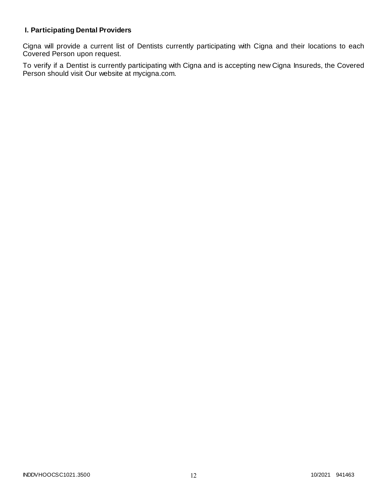# **I. Participating Dental Providers**

Cigna will provide a current list of Dentists currently participating with Cigna and their locations to each Covered Person upon request.

To verify if a Dentist is currently participating with Cigna and is accepting new Cigna Insureds, the Covered Person should visit Our website at mycigna.com.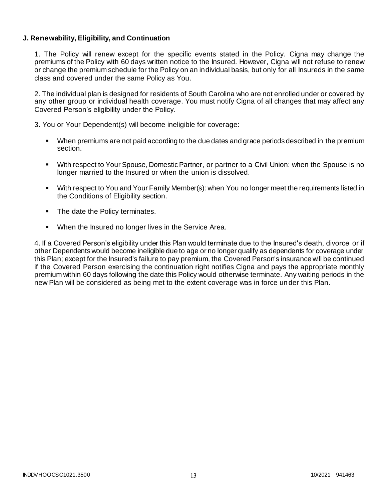#### **J. Renewability, Eligibility, and Continuation**

1. The Policy will renew except for the specific events stated in the Policy. Cigna may change the premiums of the Policy with 60 days written notice to the Insured. However, Cigna will not refuse to renew or change the premium schedule for the Policy on an individual basis, but only for all Insureds in the same class and covered under the same Policy as You.

2. The individual plan is designed for residents of South Carolina who are not enrolled under or covered by any other group or individual health coverage. You must notify Cigna of all changes that may affect any Covered Person's eligibility under the Policy.

3. You or Your Dependent(s) will become ineligible for coverage:

- When premiums are not paid according to the due dates and grace periods described in the premium section.
- With respect to Your Spouse, Domestic Partner, or partner to a Civil Union: when the Spouse is no longer married to the Insured or when the union is dissolved.
- With respect to You and Your Family Member(s): when You no longer meet the requirements listed in the Conditions of Eligibility section.
- The date the Policy terminates.
- When the Insured no longer lives in the Service Area.

4. If a Covered Person's eligibility under this Plan would terminate due to the Insured's death, divorce or if other Dependents would become ineligible due to age or no longer qualify as dependents for coverage under this Plan; except for the Insured's failure to pay premium, the Covered Person's insurance will be continued if the Covered Person exercising the continuation right notifies Cigna and pays the appropriate monthly premium within 60 days following the date this Policy would otherwise terminate. Any waiting periods in the new Plan will be considered as being met to the extent coverage was in force under this Plan.